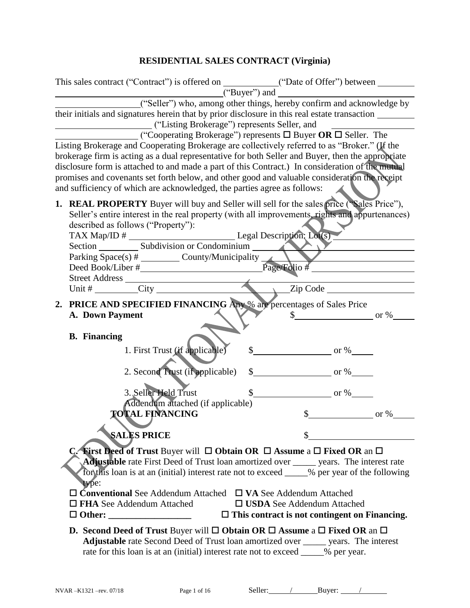# **RESIDENTIAL SALES CONTRACT (Virginia)**

|    | This sales contract ("Contract") is offered on ____________("Date of Offer") between _______________                                                                                                                                                                                                                                                                                                                                                                                                                                                                                                                                                                                                                     |                                                                                                                                                                   |                                                                                              |                                  |
|----|--------------------------------------------------------------------------------------------------------------------------------------------------------------------------------------------------------------------------------------------------------------------------------------------------------------------------------------------------------------------------------------------------------------------------------------------------------------------------------------------------------------------------------------------------------------------------------------------------------------------------------------------------------------------------------------------------------------------------|-------------------------------------------------------------------------------------------------------------------------------------------------------------------|----------------------------------------------------------------------------------------------|----------------------------------|
|    | their initials and signatures herein that by prior disclosure in this real estate transaction<br>("Listing Brokerage") represents Seller, and<br>Listing Brokerage and Cooperating Brokerage are collectively referred to as "Broker." (If the<br>brokerage firm is acting as a dual representative for both Seller and Buyer, then the appropriate<br>disclosure form is attached to and made a part of this Contract.) In consideration of the mutual<br>promises and covenants set forth below, and other good and valuable consideration the receipt<br>and sufficiency of which are acknowledged, the parties agree as follows:                                                                                     | ("Buyer") and<br>("Seller") who, among other things, hereby confirm and acknowledge by<br>("Cooperating Brokerage") represents $\Box$ Buyer OR $\Box$ Seller. The |                                                                                              |                                  |
|    | 1. REAL PROPERTY Buyer will buy and Seller will sell for the sales price ("Sales Price"),<br>Seller's entire interest in the real property (with all improvements, rights and appurtenances)<br>described as follows ("Property"):                                                                                                                                                                                                                                                                                                                                                                                                                                                                                       |                                                                                                                                                                   |                                                                                              |                                  |
| 2. | <b>PRICE AND SPECIFIED FINANCING Any % are percentages of Sales Price</b><br>A. Down Payment                                                                                                                                                                                                                                                                                                                                                                                                                                                                                                                                                                                                                             |                                                                                                                                                                   |                                                                                              | $\frac{\text{S}}{\text{S}}$ or % |
|    | <b>B.</b> Financing                                                                                                                                                                                                                                                                                                                                                                                                                                                                                                                                                                                                                                                                                                      | 1. First Trust (if applicable)                                                                                                                                    | $\frac{\text{I}}{\text{I}}$ or %                                                             |                                  |
|    |                                                                                                                                                                                                                                                                                                                                                                                                                                                                                                                                                                                                                                                                                                                          | 2. Second Trust (if applicable)                                                                                                                                   | $\frac{\text{S}}{\text{S}}$ or %                                                             |                                  |
|    | 3. Seller Held Trust                                                                                                                                                                                                                                                                                                                                                                                                                                                                                                                                                                                                                                                                                                     | Addendum attached (if applicable)                                                                                                                                 | $\frac{\text{S}}{\text{S}}$ or %                                                             |                                  |
|    | <b>TOTAL FINANCING</b>                                                                                                                                                                                                                                                                                                                                                                                                                                                                                                                                                                                                                                                                                                   |                                                                                                                                                                   | $\mathcal{S}$                                                                                | $\equiv$ or %                    |
|    | <b>SALES PRICE</b>                                                                                                                                                                                                                                                                                                                                                                                                                                                                                                                                                                                                                                                                                                       |                                                                                                                                                                   |                                                                                              |                                  |
|    | <b>C.</b> First Deed of Trust Buyer will $\Box$ Obtain OR $\Box$ Assume a $\Box$ Fixed OR an $\Box$<br><b>Adjustable</b> rate First Deed of Trust loan amortized over ______ years. The interest rate<br>for this loan is at an (initial) interest rate not to exceed ____% per year of the following<br>type:<br>$\Box$ Conventional See Addendum Attached $\Box$ VA See Addendum Attached<br>$\Box$ FHA See Addendum Attached<br>D. Second Deed of Trust Buyer will $\square$ Obtain OR $\square$ Assume a $\square$ Fixed OR an $\square$<br>Adjustable rate Second Deed of Trust loan amortized over _____ years. The interest<br>rate for this loan is at an (initial) interest rate not to exceed _____% per year. |                                                                                                                                                                   | $\square$ USDA See Addendum Attached<br>$\Box$ This contract is not contingent on Financing. |                                  |
|    |                                                                                                                                                                                                                                                                                                                                                                                                                                                                                                                                                                                                                                                                                                                          |                                                                                                                                                                   |                                                                                              |                                  |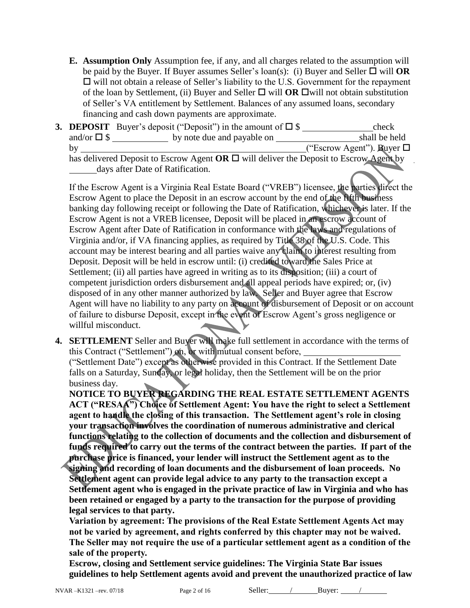**E. Assumption Only** Assumption fee, if any, and all charges related to the assumption will be paid by the Buyer. If Buyer assumes Seller's  $\text{loan}(s)$ : (i) Buyer and Seller  $\Box$  will **OR**  $\Box$  will not obtain a release of Seller's liability to the U.S. Government for the repayment of the loan by Settlement, (ii) Buyer and Seller  $\Box$  will **OR**  $\Box$  will not obtain substitution of Seller's VA entitlement by Settlement. Balances of any assumed loans, secondary financing and cash down payments are approximate.

|                     | <b>3. DEPOSIT</b> Buyer's deposit ("Deposit") in the amount of $\square$ \$                 | check                             |
|---------------------|---------------------------------------------------------------------------------------------|-----------------------------------|
| and/or $\square$ \$ | by note due and payable on                                                                  | shall be held                     |
| bv                  |                                                                                             | ("Escrow Agent"). Buyer $\square$ |
|                     | has delivered Deposit to Escrow Agent OR $\Box$ will deliver the Deposit to Escrow Agent by |                                   |
|                     | days after Date of Ratification.                                                            |                                   |

If the Escrow Agent is a Virginia Real Estate Board ("VREB") licensee, the parties direct the Escrow Agent to place the Deposit in an escrow account by the end of the fifth business banking day following receipt or following the Date of Ratification, whichever is later. If the Escrow Agent is not a VREB licensee, Deposit will be placed in an escrow account of Escrow Agent after Date of Ratification in conformance with the laws and regulations of Virginia and/or, if VA financing applies, as required by Title 38 of the U.S. Code. This account may be interest bearing and all parties waive any claim to interest resulting from Deposit. Deposit will be held in escrow until: (i) credited toward the Sales Price at Settlement; (ii) all parties have agreed in writing as to its disposition; (iii) a court of competent jurisdiction orders disbursement and all appeal periods have expired; or, (iv) disposed of in any other manner authorized by law. Seller and Buyer agree that Escrow Agent will have no liability to any party on account of disbursement of Deposit or on account of failure to disburse Deposit, except in the event of Escrow Agent's gross negligence or willful misconduct.

**4. SETTLEMENT** Seller and Buyer will make full settlement in accordance with the terms of this Contract ("Settlement") on, or with mutual consent before, ("Settlement Date") except as otherwise provided in this Contract. If the Settlement Date

falls on a Saturday, Sunday, or legal holiday, then the Settlement will be on the prior business day.

**NOTICE TO BUYER REGARDING THE REAL ESTATE SETTLEMENT AGENTS ACT ("RESAA") Choice of Settlement Agent: You have the right to select a Settlement agent to handle the closing of this transaction. The Settlement agent's role in closing your transaction involves the coordination of numerous administrative and clerical functions relating to the collection of documents and the collection and disbursement of funds required to carry out the terms of the contract between the parties. If part of the purchase price is financed, your lender will instruct the Settlement agent as to the signing and recording of loan documents and the disbursement of loan proceeds. No** 

**Settlement agent can provide legal advice to any party to the transaction except a Settlement agent who is engaged in the private practice of law in Virginia and who has been retained or engaged by a party to the transaction for the purpose of providing legal services to that party.** 

**Variation by agreement: The provisions of the Real Estate Settlement Agents Act may not be varied by agreement, and rights conferred by this chapter may not be waived. The Seller may not require the use of a particular settlement agent as a condition of the sale of the property.** 

**Escrow, closing and Settlement service guidelines: The Virginia State Bar issues guidelines to help Settlement agents avoid and prevent the unauthorized practice of law** 

NVAR –K1321 –rev. 07/18 Page 2 of 16 Seller: / Buyer: /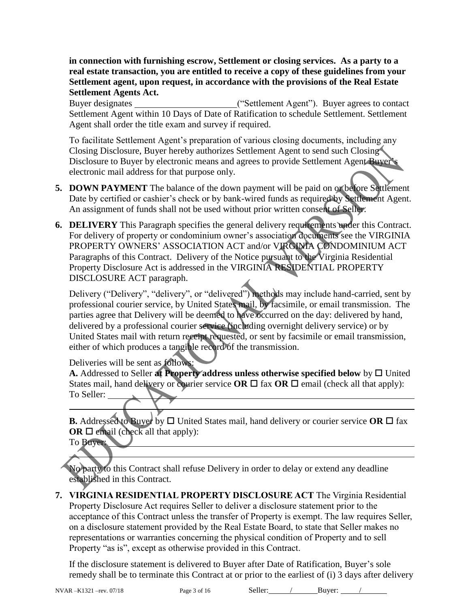**in connection with furnishing escrow, Settlement or closing services. As a party to a real estate transaction, you are entitled to receive a copy of these guidelines from your Settlement agent, upon request, in accordance with the provisions of the Real Estate Settlement Agents Act.**

Buyer designates ("Settlement Agent"). Buyer agrees to contact Settlement Agent within 10 Days of Date of Ratification to schedule Settlement. Settlement Agent shall order the title exam and survey if required.

To facilitate Settlement Agent's preparation of various closing documents, including any Closing Disclosure, Buyer hereby authorizes Settlement Agent to send such Closing Disclosure to Buyer by electronic means and agrees to provide Settlement Agent Buyer's electronic mail address for that purpose only.

- **5. DOWN PAYMENT** The balance of the down payment will be paid on or before Settlement Date by certified or cashier's check or by bank-wired funds as required by Settlement Agent. An assignment of funds shall not be used without prior written consent of Seller.
- **6. DELIVERY** This Paragraph specifies the general delivery requirements under this Contract. For delivery of property or condominium owner's association documents see the VIRGINIA PROPERTY OWNERS' ASSOCIATION ACT and/or VIRGINIA CONDOMINIUM ACT Paragraphs of this Contract. Delivery of the Notice pursuant to the Virginia Residential Property Disclosure Act is addressed in the VIRGINIA RESIDENTIAL PROPERTY DISCLOSURE ACT paragraph.

Delivery ("Delivery", "delivery", or "delivered") methods may include hand-carried, sent by professional courier service, by United States mail, by facsimile, or email transmission. The parties agree that Delivery will be deemed to have occurred on the day: delivered by hand, delivered by a professional courier service (including overnight delivery service) or by United States mail with return receipt requested, or sent by facsimile or email transmission, either of which produces a tangible record of the transmission.

Deliveries will be sent as follows:

**A.** Addressed to Seller at Property address unless otherwise specified below by  $\Box$  United States mail, hand delivery or courier service **OR**  $\Box$  fax **OR**  $\Box$  email (check all that apply): To Seller:

**B.** Addressed to Buyer by  $\Box$  United States mail, hand delivery or courier service OR  $\Box$  fax  $OR \square$  email (check all that apply):

To Buyer:

No party to this Contract shall refuse Delivery in order to delay or extend any deadline established in this Contract.

**7. VIRGINIA RESIDENTIAL PROPERTY DISCLOSURE ACT** The Virginia Residential Property Disclosure Act requires Seller to deliver a disclosure statement prior to the acceptance of this Contract unless the transfer of Property is exempt. The law requires Seller, on a disclosure statement provided by the Real Estate Board, to state that Seller makes no representations or warranties concerning the physical condition of Property and to sell Property "as is", except as otherwise provided in this Contract.

If the disclosure statement is delivered to Buyer after Date of Ratification, Buyer's sole remedy shall be to terminate this Contract at or prior to the earliest of (i) 3 days after delivery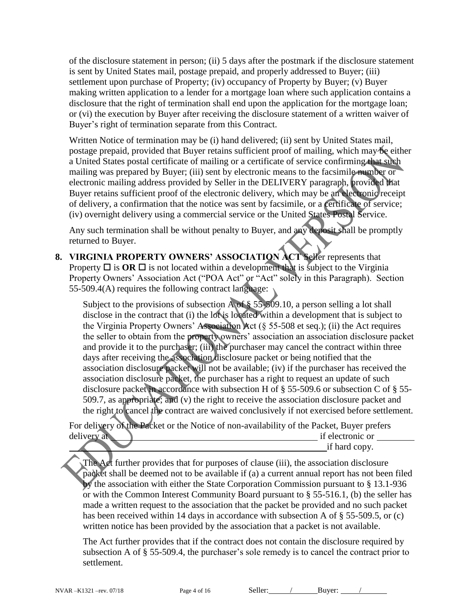of the disclosure statement in person; (ii) 5 days after the postmark if the disclosure statement is sent by United States mail, postage prepaid, and properly addressed to Buyer; (iii) settlement upon purchase of Property; (iv) occupancy of Property by Buyer; (v) Buyer making written application to a lender for a mortgage loan where such application contains a disclosure that the right of termination shall end upon the application for the mortgage loan; or (vi) the execution by Buyer after receiving the disclosure statement of a written waiver of Buyer's right of termination separate from this Contract.

Written Notice of termination may be (i) hand delivered; (ii) sent by United States mail, postage prepaid, provided that Buyer retains sufficient proof of mailing, which may be either a United States postal certificate of mailing or a certificate of service confirming that such mailing was prepared by Buyer; (iii) sent by electronic means to the facsimile number or electronic mailing address provided by Seller in the DELIVERY paragraph, provided that Buyer retains sufficient proof of the electronic delivery, which may be an electronic receipt of delivery, a confirmation that the notice was sent by facsimile, or a certificate of service; (iv) overnight delivery using a commercial service or the United States Postal Service.

Any such termination shall be without penalty to Buyer, and any deposit shall be promptly returned to Buyer.

**8. VIRGINIA PROPERTY OWNERS' ASSOCIATION ACT** Seller represents that Property  $\Box$  is  $\overline{OR}$   $\Box$  is not located within a development that is subject to the Virginia Property Owners' Association Act ("POA Act" or "Act" solely in this Paragraph). Section 55-509.4(A) requires the following contract language:

Subject to the provisions of subsection A of § 55-509.10, a person selling a lot shall disclose in the contract that (i) the lot is located within a development that is subject to the Virginia Property Owners' Association Act (§ 55-508 et seq.); (ii) the Act requires the seller to obtain from the property owners' association an association disclosure packet and provide it to the purchaser; (iii) the purchaser may cancel the contract within three days after receiving the association disclosure packet or being notified that the association disclosure packet will not be available; (iv) if the purchaser has received the association disclosure packet, the purchaser has a right to request an update of such disclosure packet in accordance with subsection H of § 55-509.6 or subsection C of § 55- 509.7, as appropriate; and (v) the right to receive the association disclosure packet and the right to cancel the contract are waived conclusively if not exercised before settlement.

For delivery of the Packet or the Notice of non-availability of the Packet, Buyer prefers delivery at if electronic or  $\qquad \qquad$  if electronic or  $\qquad \qquad$ if hard copy.

The Act further provides that for purposes of clause (iii), the association disclosure packet shall be deemed not to be available if (a) a current annual report has not been filed by the association with either the State Corporation Commission pursuant to § 13.1-936 or with the Common Interest Community Board pursuant to § 55-516.1, (b) the seller has made a written request to the association that the packet be provided and no such packet has been received within 14 days in accordance with subsection A of § 55-509.5, or (c) written notice has been provided by the association that a packet is not available.

The Act further provides that if the contract does not contain the disclosure required by subsection A of § 55-509.4, the purchaser's sole remedy is to cancel the contract prior to settlement.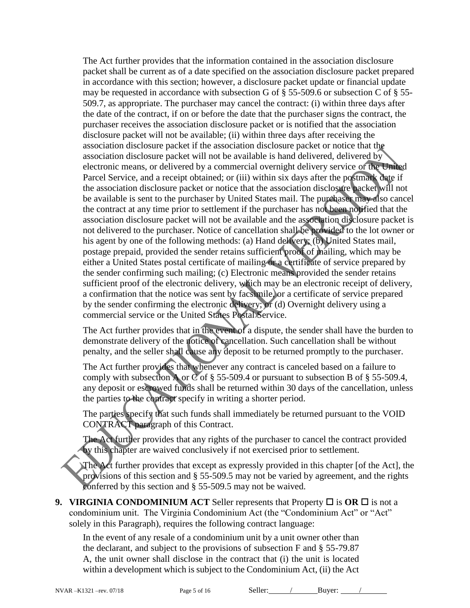The Act further provides that the information contained in the association disclosure packet shall be current as of a date specified on the association disclosure packet prepared in accordance with this section; however, a disclosure packet update or financial update may be requested in accordance with subsection G of § 55-509.6 or subsection C of § 55- 509.7, as appropriate. The purchaser may cancel the contract: (i) within three days after the date of the contract, if on or before the date that the purchaser signs the contract, the purchaser receives the association disclosure packet or is notified that the association disclosure packet will not be available; (ii) within three days after receiving the association disclosure packet if the association disclosure packet or notice that the association disclosure packet will not be available is hand delivered, delivered by electronic means, or delivered by a commercial overnight delivery service or the United Parcel Service, and a receipt obtained; or (iii) within six days after the postmark date if the association disclosure packet or notice that the association disclosure packet will not be available is sent to the purchaser by United States mail. The purchaser may also cancel the contract at any time prior to settlement if the purchaser has not been notified that the association disclosure packet will not be available and the association disclosure packet is not delivered to the purchaser. Notice of cancellation shall be provided to the lot owner or his agent by one of the following methods: (a) Hand delivery; (b) United States mail, postage prepaid, provided the sender retains sufficient proof of mailing, which may be either a United States postal certificate of mailing or a certificate of service prepared by the sender confirming such mailing; (c) Electronic means provided the sender retains sufficient proof of the electronic delivery, which may be an electronic receipt of delivery, a confirmation that the notice was sent by facsimile, or a certificate of service prepared by the sender confirming the electronic delivery; or (d) Overnight delivery using a commercial service or the United States Postal Service.

The Act further provides that in the event of a dispute, the sender shall have the burden to demonstrate delivery of the notice of cancellation. Such cancellation shall be without penalty, and the seller shall cause any deposit to be returned promptly to the purchaser.

The Act further provides that whenever any contract is canceled based on a failure to comply with subsection A or  $\ddot{C}$  of § 55-509.4 or pursuant to subsection B of § 55-509.4, any deposit or escrowed funds shall be returned within 30 days of the cancellation, unless the parties to the contract specify in writing a shorter period.

The parties specify that such funds shall immediately be returned pursuant to the VOID CONTRACT paragraph of this Contract.

The Act further provides that any rights of the purchaser to cancel the contract provided by this chapter are waived conclusively if not exercised prior to settlement.

The Act further provides that except as expressly provided in this chapter [of the Act], the provisions of this section and § 55-509.5 may not be varied by agreement, and the rights conferred by this section and § 55-509.5 may not be waived.

**9. VIRGINIA CONDOMINIUM ACT** Seller represents that Property  $\Box$  is OR  $\Box$  is not a condominium unit. The Virginia Condominium Act (the "Condominium Act" or "Act" solely in this Paragraph), requires the following contract language:

In the event of any resale of a condominium unit by a unit owner other than the declarant, and subject to the provisions of subsection F and § 55-79.87 A, the unit owner shall disclose in the contract that (i) the unit is located within a development which is subject to the Condominium Act, (ii) the Act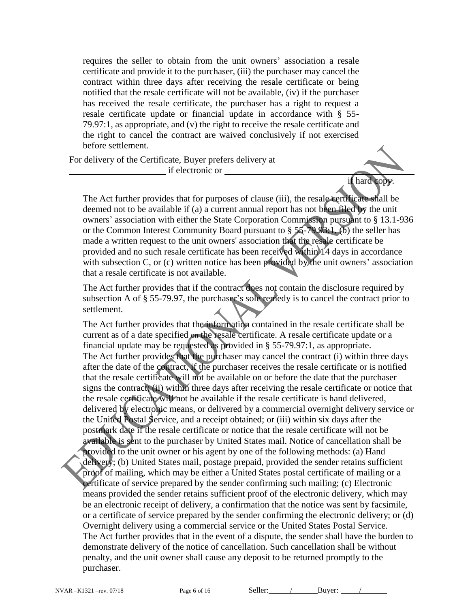requires the seller to obtain from the unit owners' association a resale certificate and provide it to the purchaser, (iii) the purchaser may cancel the contract within three days after receiving the resale certificate or being notified that the resale certificate will not be available, (iv) if the purchaser has received the resale certificate, the purchaser has a right to request a resale certificate update or financial update in accordance with § 55- 79.97:1, as appropriate, and (v) the right to receive the resale certificate and the right to cancel the contract are waived conclusively if not exercised before settlement.

For delivery of the Certificate, Buyer prefers delivery at

if electronic or  $\overline{\phantom{a}}$ 

if hard copy.

The Act further provides that for purposes of clause (iii), the resale certificate shall be deemed not to be available if (a) a current annual report has not been filed by the unit owners' association with either the State Corporation Commission pursuant to § 13.1-936 or the Common Interest Community Board pursuant to § 55-79.93:1, (b) the seller has made a written request to the unit owners' association that the resale certificate be provided and no such resale certificate has been received within 14 days in accordance with subsection C, or (c) written notice has been provided by the unit owners' association that a resale certificate is not available.

The Act further provides that if the contract does not contain the disclosure required by subsection A of § 55-79.97, the purchaser's sole remedy is to cancel the contract prior to settlement.

The Act further provides that the information contained in the resale certificate shall be current as of a date specified on the resale certificate. A resale certificate update or a financial update may be requested as provided in § 55-79.97:1, as appropriate. The Act further provides that the purchaser may cancel the contract (i) within three days after the date of the contract, if the purchaser receives the resale certificate or is notified that the resale certificate will not be available on or before the date that the purchaser signs the contract; (ii) within three days after receiving the resale certificate or notice that the resale certificate will not be available if the resale certificate is hand delivered, delivered by electronic means, or delivered by a commercial overnight delivery service or the United Postal Service, and a receipt obtained; or (iii) within six days after the postmark date if the resale certificate or notice that the resale certificate will not be available is sent to the purchaser by United States mail. Notice of cancellation shall be provided to the unit owner or his agent by one of the following methods: (a) Hand delivery; (b) United States mail, postage prepaid, provided the sender retains sufficient proof of mailing, which may be either a United States postal certificate of mailing or a certificate of service prepared by the sender confirming such mailing; (c) Electronic means provided the sender retains sufficient proof of the electronic delivery, which may be an electronic receipt of delivery, a confirmation that the notice was sent by facsimile, or a certificate of service prepared by the sender confirming the electronic delivery; or (d) Overnight delivery using a commercial service or the United States Postal Service. The Act further provides that in the event of a dispute, the sender shall have the burden to demonstrate delivery of the notice of cancellation. Such cancellation shall be without penalty, and the unit owner shall cause any deposit to be returned promptly to the purchaser.

NVAR –K1321 –rev. 07/18 Page 6 of 16 Seller: / Buyer: /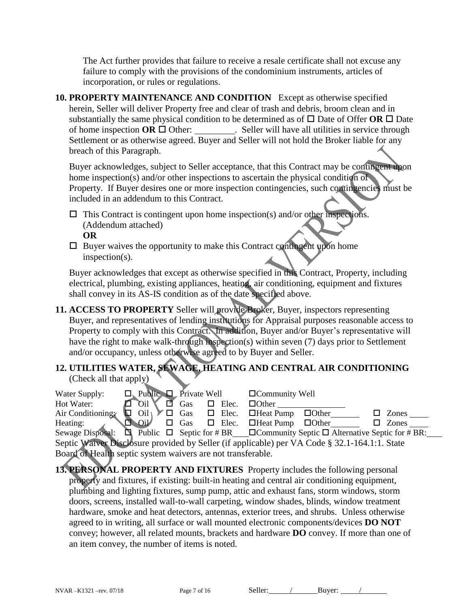The Act further provides that failure to receive a resale certificate shall not excuse any failure to comply with the provisions of the condominium instruments, articles of incorporation, or rules or regulations.

**10. PROPERTY MAINTENANCE AND CONDITION** Except as otherwise specified herein, Seller will deliver Property free and clear of trash and debris, broom clean and in substantially the same physical condition to be determined as of  $\Box$  Date of Offer **OR**  $\Box$  Date of home inspection  $\overrightarrow{OR} \Box$  Other: . Seller will have all utilities in service through Settlement or as otherwise agreed. Buyer and Seller will not hold the Broker liable for any breach of this Paragraph.

Buyer acknowledges, subject to Seller acceptance, that this Contract may be contingent upon home inspection(s) and/or other inspections to ascertain the physical condition of Property. If Buyer desires one or more inspection contingencies, such contingencies must be included in an addendum to this Contract.

- $\Box$  This Contract is contingent upon home inspection(s) and/or other inspections. (Addendum attached) **OR**
- $\square$  Buyer waives the opportunity to make this Contract contingent upon home inspection(s).

Buyer acknowledges that except as otherwise specified in this Contract, Property, including electrical, plumbing, existing appliances, heating, air conditioning, equipment and fixtures shall convey in its AS-IS condition as of the date specified above.

**11. ACCESS TO PROPERTY** Seller will provide Broker, Buyer, inspectors representing Buyer, and representatives of lending institutions for Appraisal purposes reasonable access to Property to comply with this Contract. In addition, Buyer and/or Buyer's representative will have the right to make walk-through inspection(s) within seven (7) days prior to Settlement and/or occupancy, unless otherwise agreed to by Buyer and Seller.

# **12. UTILITIES WATER, SEWAGE, HEATING AND CENTRAL AIR CONDITIONING** (Check all that apply)

| Water Supply:                                                                                 |  | $\Box$ Public $\Box$ Private Well            |  |     |  |       | $\Box$ Community Well                                 |                                                                                                                  |              |
|-----------------------------------------------------------------------------------------------|--|----------------------------------------------|--|-----|--|-------|-------------------------------------------------------|------------------------------------------------------------------------------------------------------------------|--------------|
| Hot Water:                                                                                    |  | $\Box$ Oil                                   |  | Gas |  | Elec. | $\Box$ Other                                          |                                                                                                                  |              |
| Air Conditioning                                                                              |  | $\text{Oil}\setminus V\Box$ Gas $\Box$ Elec. |  |     |  |       | $\Box$ Heat Pump                                      | $\Box$ Other                                                                                                     | Zones        |
| Heating:                                                                                      |  | OiV                                          |  |     |  |       | $\Box$ Gas $\Box$ Elec. $\Box$ Heat Pump $\Box$ Other |                                                                                                                  | $\Box$ Zones |
|                                                                                               |  |                                              |  |     |  |       |                                                       | Sewage Disposal: $\Box$ Public $\Box$ Septic for # BR____OCommunity Septic $\Box$ Alternative Septic for # BR:__ |              |
| Septic Waiver Disclosure provided by Seller (if applicable) per VA Code § 32.1-164.1:1. State |  |                                              |  |     |  |       |                                                       |                                                                                                                  |              |
| Board of Health septic system waivers are not transferable.                                   |  |                                              |  |     |  |       |                                                       |                                                                                                                  |              |

**13. PERSONAL PROPERTY AND FIXTURES** Property includes the following personal property and fixtures, if existing: built-in heating and central air conditioning equipment, plumbing and lighting fixtures, sump pump, attic and exhaust fans, storm windows, storm doors, screens, installed wall-to-wall carpeting, window shades, blinds, window treatment hardware, smoke and heat detectors, antennas, exterior trees, and shrubs. Unless otherwise agreed to in writing, all surface or wall mounted electronic components/devices **DO NOT** convey; however, all related mounts, brackets and hardware **DO** convey. If more than one of an item convey, the number of items is noted.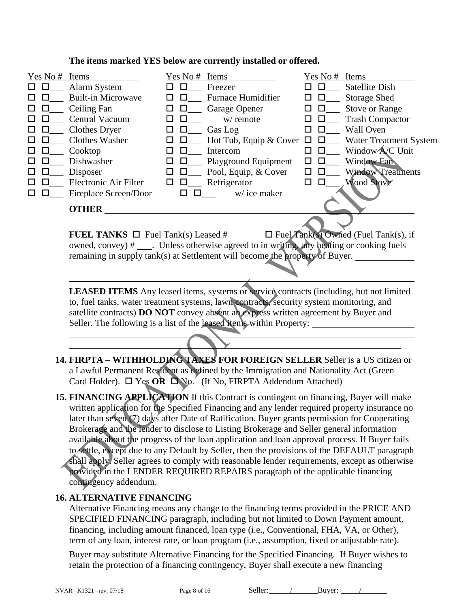| Yes No #    | Items                     | Yes No #     | Items                         | Yes No #           | Items                         |
|-------------|---------------------------|--------------|-------------------------------|--------------------|-------------------------------|
| $\Box$<br>П | Alarm System              | $\mathbf{L}$ | Freezer                       | П                  | <b>Satellite Dish</b>         |
| □           | <b>Built-in Microwave</b> |              | <b>Furnace Humidifier</b>     | □<br>ப             | Storage Shed                  |
| □           | Ceiling Fan               |              | Garage Opener                 | □                  | <b>Stove or Range</b>         |
| □           | <b>Central Vacuum</b>     |              | w/ remote                     | $\mathbf{L}$<br>LΙ | <b>Trash Compactor</b>        |
| □           | <b>Clothes Dryer</b>      |              | Gas Log                       |                    | <b>Wall Oven</b>              |
| П           | <b>Clothes Washer</b>     |              | Hot Tub, Equip & Cover $\Box$ | $\Box$             | <b>Water Treatment System</b> |
| □           | Cooktop                   |              | Intercom                      |                    | Window A/C Unit               |
| □           | Dishwasher                | ப            | Playground Equipment          |                    | Window Fan                    |
| ப           | Disposer                  | $\mathsf{L}$ | Pool, Equip, & Cover          |                    | <b>Window Treatments</b>      |
| П           | Electronic Air Filter     | П            | Refrigerator                  |                    | <b>Wood Stove</b>             |
| □           | Fireplace Screen/Door     |              | w/ice maker                   |                    |                               |
|             | <b>OTHER</b>              |              |                               |                    |                               |
|             |                           |              |                               |                    |                               |

**The items marked YES below are currently installed or offered.** 

**FUEL TANKS**  $\Box$  Fuel Tank(s) Leased  $\#$   $\Box$  Fuel Tank(s) Owned (Fuel Tank(s), if owned, convey)  $\#$  \_\_\_\_. Unless otherwise agreed to in writing, any heating or cooking fuels remaining in supply tank(s) at Settlement will become the property of Buyer.

LEASED ITEMS Any leased items, systems or service contracts (including, but not limited to, fuel tanks, water treatment systems, lawn contracts, security system monitoring, and satellite contracts) **DO NOT** convey absent an express written agreement by Buyer and Seller. The following is a list of the leased items within Property:

- **14. FIRPTA – WITHHOLDING TAXES FOR FOREIGN SELLER** Seller is a US citizen or a Lawful Permanent Resident as defined by the Immigration and Nationality Act (Green Card Holder).  $\Box$  Yes OR  $\Box$  No. (If No, FIRPTA Addendum Attached)
- **15. FINANCING APPLICATION** If this Contract is contingent on financing, Buyer will make written application for the Specified Financing and any lender required property insurance no later than seven (7) days after Date of Ratification. Buyer grants permission for Cooperating Brokerage and the lender to disclose to Listing Brokerage and Seller general information available about the progress of the loan application and loan approval process. If Buyer fails to settle, except due to any Default by Seller, then the provisions of the DEFAULT paragraph shall apply. Seller agrees to comply with reasonable lender requirements, except as otherwise provided in the LENDER REQUIRED REPAIRS paragraph of the applicable financing contingency addendum.

# **16. ALTERNATIVE FINANCING**

Alternative Financing means any change to the financing terms provided in the PRICE AND SPECIFIED FINANCING paragraph, including but not limited to Down Payment amount, financing, including amount financed, loan type (i.e., Conventional, FHA, VA, or Other), term of any loan, interest rate, or loan program (i.e., assumption, fixed or adjustable rate).

Buyer may substitute Alternative Financing for the Specified Financing. If Buyer wishes to retain the protection of a financing contingency, Buyer shall execute a new financing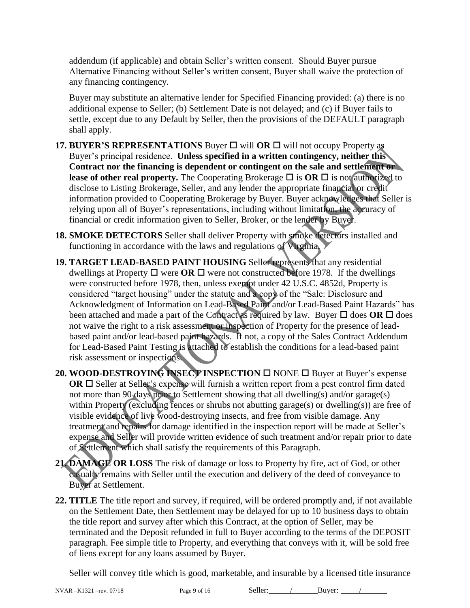addendum (if applicable) and obtain Seller's written consent. Should Buyer pursue Alternative Financing without Seller's written consent, Buyer shall waive the protection of any financing contingency.

Buyer may substitute an alternative lender for Specified Financing provided: (a) there is no additional expense to Seller; (b) Settlement Date is not delayed; and (c) if Buyer fails to settle, except due to any Default by Seller, then the provisions of the DEFAULT paragraph shall apply.

- **17. BUYER'S REPRESENTATIONS** Buyer  $\Box$  will OR  $\Box$  will not occupy Property as Buyer's principal residence. **Unless specified in a written contingency, neither this Contract nor the financing is dependent or contingent on the sale and settlement or lease of other real property.** The Cooperating Brokerage  $\Box$  is **OR**  $\Box$  is not authorized to disclose to Listing Brokerage, Seller, and any lender the appropriate financial or credit information provided to Cooperating Brokerage by Buyer. Buyer acknowledges that Seller is relying upon all of Buyer's representations, including without limitation, the accuracy of financial or credit information given to Seller, Broker, or the lender by Buyer.
- **18. SMOKE DETECTORS** Seller shall deliver Property with smoke detectors installed and functioning in accordance with the laws and regulations of Virginia.
- **19. TARGET LEAD-BASED PAINT HOUSING** Seller represents that any residential dwellings at Property  $\Box$  were **OR**  $\Box$  were not constructed before 1978. If the dwellings were constructed before 1978, then, unless exempt under 42 U.S.C. 4852d, Property is considered "target housing" under the statute and a copy of the "Sale: Disclosure and Acknowledgment of Information on Lead-Based Paint and/or Lead-Based Paint Hazards" has been attached and made a part of the Contract as required by law. Buyer  $\Box$  does OR  $\Box$  does not waive the right to a risk assessment or inspection of Property for the presence of leadbased paint and/or lead-based paint hazards. If not, a copy of the Sales Contract Addendum for Lead-Based Paint Testing is attached to establish the conditions for a lead-based paint risk assessment or inspections.
- **20. WOOD-DESTROYING INSECTIONSPECTION** □ NONE □ Buyer at Buyer's expense **OR**  $\Box$  Seller at Seller's expense will furnish a written report from a pest control firm dated not more than 90 days prior to Settlement showing that all dwelling(s) and/or garage(s) within Property (excluding fences or shrubs not abutting garage(s) or dwelling(s)) are free of visible evidence of live wood-destroying insects, and free from visible damage. Any treatment and repairs for damage identified in the inspection report will be made at Seller's expense and Seller will provide written evidence of such treatment and/or repair prior to date of Settlement which shall satisfy the requirements of this Paragraph.
- **21. DAMAGE OR LOSS** The risk of damage or loss to Property by fire, act of God, or other casualty remains with Seller until the execution and delivery of the deed of conveyance to Buyer at Settlement.
- **22. TITLE** The title report and survey, if required, will be ordered promptly and, if not available on the Settlement Date, then Settlement may be delayed for up to 10 business days to obtain the title report and survey after which this Contract, at the option of Seller, may be terminated and the Deposit refunded in full to Buyer according to the terms of the DEPOSIT paragraph. Fee simple title to Property, and everything that conveys with it, will be sold free of liens except for any loans assumed by Buyer.

Seller will convey title which is good, marketable, and insurable by a licensed title insurance

NVAR – K1321 – rev. 07/18 Page 9 of 16 Seller: / Buyer: / / Buyer: /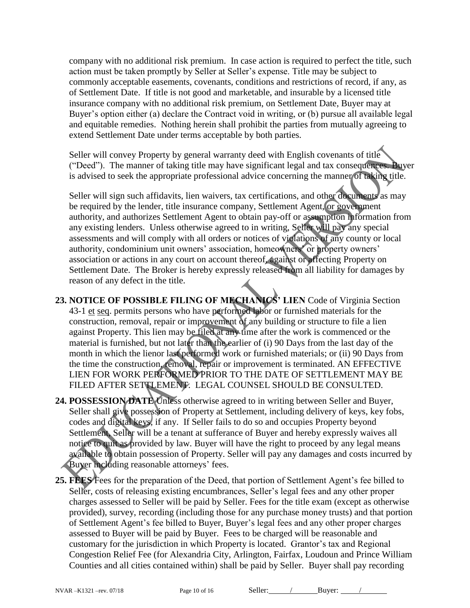company with no additional risk premium. In case action is required to perfect the title, such action must be taken promptly by Seller at Seller's expense. Title may be subject to commonly acceptable easements, covenants, conditions and restrictions of record, if any, as of Settlement Date. If title is not good and marketable, and insurable by a licensed title insurance company with no additional risk premium, on Settlement Date, Buyer may at Buyer's option either (a) declare the Contract void in writing, or (b) pursue all available legal and equitable remedies. Nothing herein shall prohibit the parties from mutually agreeing to extend Settlement Date under terms acceptable by both parties.

Seller will convey Property by general warranty deed with English covenants of title ("Deed").The manner of taking title may have significant legal and tax consequences. Buyer is advised to seek the appropriate professional advice concerning the manner of taking title.

Seller will sign such affidavits, lien waivers, tax certifications, and other documents as may be required by the lender, title insurance company, Settlement Agent, or government authority, and authorizes Settlement Agent to obtain pay-off or assumption information from any existing lenders. Unless otherwise agreed to in writing, Seller will pay any special assessments and will comply with all orders or notices of violations of any county or local authority, condominium unit owners' association, homeowners' or property owners' association or actions in any court on account thereof, against or affecting Property on Settlement Date. The Broker is hereby expressly released from all liability for damages by reason of any defect in the title.

- **23. NOTICE OF POSSIBLE FILING OF MECHANICS' LIEN** Code of Virginia Section 43-1 et seq. permits persons who have performed labor or furnished materials for the construction, removal, repair or improvement of any building or structure to file a lien against Property. This lien may be filed at any time after the work is commenced or the material is furnished, but not later than the earlier of (i) 90 Days from the last day of the month in which the lienor last performed work or furnished materials; or (ii) 90 Days from the time the construction, removal, repair or improvement is terminated. AN EFFECTIVE LIEN FOR WORK PERFORMED PRIOR TO THE DATE OF SETTLEMENT MAY BE FILED AFTER SETTLEMENT. LEGAL COUNSEL SHOULD BE CONSULTED.
- **24. POSSESSION DATE** Unless otherwise agreed to in writing between Seller and Buyer, Seller shall give possession of Property at Settlement, including delivery of keys, key fobs, codes and digital keys, if any. If Seller fails to do so and occupies Property beyond Settlement, Seller will be a tenant at sufferance of Buyer and hereby expressly waives all notice to quit as provided by law. Buyer will have the right to proceed by any legal means available to obtain possession of Property. Seller will pay any damages and costs incurred by Buyer including reasonable attorneys' fees.
- **25. FEES** Fees for the preparation of the Deed, that portion of Settlement Agent's fee billed to Seller, costs of releasing existing encumbrances, Seller's legal fees and any other proper charges assessed to Seller will be paid by Seller. Fees for the title exam (except as otherwise provided), survey, recording (including those for any purchase money trusts) and that portion of Settlement Agent's fee billed to Buyer, Buyer's legal fees and any other proper charges assessed to Buyer will be paid by Buyer. Fees to be charged will be reasonable and customary for the jurisdiction in which Property is located. Grantor's tax and Regional Congestion Relief Fee (for Alexandria City, Arlington, Fairfax, Loudoun and Prince William Counties and all cities contained within) shall be paid by Seller. Buyer shall pay recording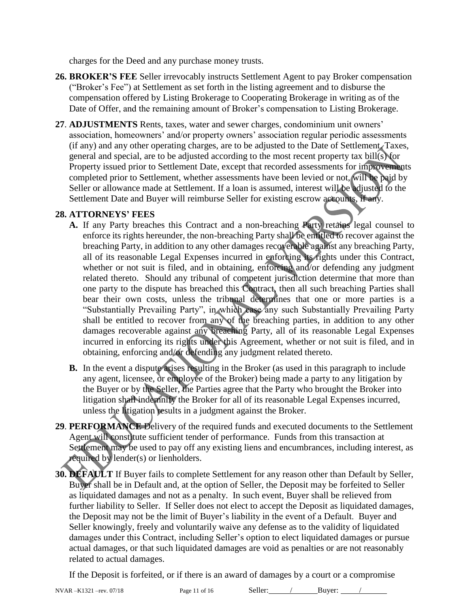charges for the Deed and any purchase money trusts.

- **26. BROKER'S FEE** Seller irrevocably instructs Settlement Agent to pay Broker compensation ("Broker's Fee") at Settlement as set forth in the listing agreement and to disburse the compensation offered by Listing Brokerage to Cooperating Brokerage in writing as of the Date of Offer, and the remaining amount of Broker's compensation to Listing Brokerage.
- **27**. **ADJUSTMENTS** Rents, taxes, water and sewer charges, condominium unit owners' association, homeowners' and/or property owners' association regular periodic assessments (if any) and any other operating charges, are to be adjusted to the Date of Settlement. Taxes, general and special, are to be adjusted according to the most recent property tax bill(s) for Property issued prior to Settlement Date, except that recorded assessments for improvements completed prior to Settlement, whether assessments have been levied or not, will be paid by Seller or allowance made at Settlement. If a loan is assumed, interest will be adjusted to the Settlement Date and Buyer will reimburse Seller for existing escrow accounts, if any.

#### **28. ATTORNEYS' FEES**

- **A.** If any Party breaches this Contract and a non-breaching Party retains legal counsel to enforce its rights hereunder, the non-breaching Party shall be entitled to recover against the breaching Party, in addition to any other damages recoverable against any breaching Party, all of its reasonable Legal Expenses incurred in enforcing its rights under this Contract, whether or not suit is filed, and in obtaining, enforcing and/or defending any judgment related thereto. Should any tribunal of competent jurisdiction determine that more than one party to the dispute has breached this Contract, then all such breaching Parties shall bear their own costs, unless the tribunal determines that one or more parties is a "Substantially Prevailing Party", in which case any such Substantially Prevailing Party shall be entitled to recover from any of the breaching parties, in addition to any other damages recoverable against any breaching Party, all of its reasonable Legal Expenses incurred in enforcing its rights under this Agreement, whether or not suit is filed, and in obtaining, enforcing and/or defending any judgment related thereto.
- **B.** In the event a dispute arises resulting in the Broker (as used in this paragraph to include any agent, licensee, or employee of the Broker) being made a party to any litigation by the Buyer or by the Seller, the Parties agree that the Party who brought the Broker into litigation shall indemnify the Broker for all of its reasonable Legal Expenses incurred, unless the litigation results in a judgment against the Broker.
- **29**. **PERFORMANCE** Delivery of the required funds and executed documents to the Settlement Agent will constitute sufficient tender of performance. Funds from this transaction at Settlement may be used to pay off any existing liens and encumbrances, including interest, as required by lender(s) or lienholders.
- **30. DEFAULT** If Buyer fails to complete Settlement for any reason other than Default by Seller, Buyer shall be in Default and, at the option of Seller, the Deposit may be forfeited to Seller as liquidated damages and not as a penalty. In such event, Buyer shall be relieved from further liability to Seller. If Seller does not elect to accept the Deposit as liquidated damages, the Deposit may not be the limit of Buyer's liability in the event of a Default. Buyer and Seller knowingly, freely and voluntarily waive any defense as to the validity of liquidated damages under this Contract, including Seller's option to elect liquidated damages or pursue actual damages, or that such liquidated damages are void as penalties or are not reasonably related to actual damages.

If the Deposit is forfeited, or if there is an award of damages by a court or a compromise

NVAR –K1321 –rev. 07/18 Page 11 of 16 Seller: / Buyer: /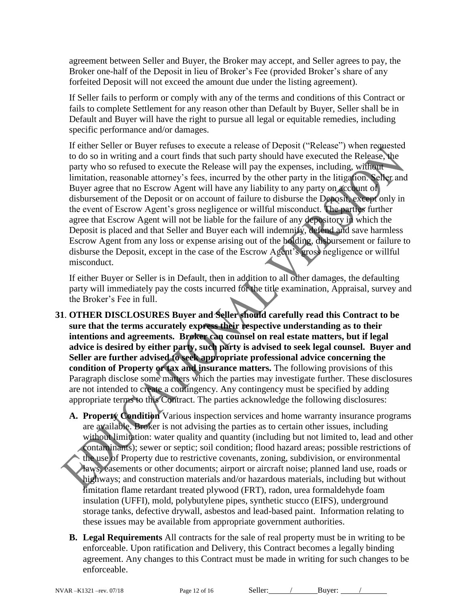agreement between Seller and Buyer, the Broker may accept, and Seller agrees to pay, the Broker one-half of the Deposit in lieu of Broker's Fee (provided Broker's share of any forfeited Deposit will not exceed the amount due under the listing agreement).

If Seller fails to perform or comply with any of the terms and conditions of this Contract or fails to complete Settlement for any reason other than Default by Buyer, Seller shall be in Default and Buyer will have the right to pursue all legal or equitable remedies, including specific performance and/or damages.

If either Seller or Buyer refuses to execute a release of Deposit ("Release") when requested to do so in writing and a court finds that such party should have executed the Release, the party who so refused to execute the Release will pay the expenses, including, without limitation, reasonable attorney's fees, incurred by the other party in the litigation. Seller and Buyer agree that no Escrow Agent will have any liability to any party on account of disbursement of the Deposit or on account of failure to disburse the Deposit, except only in the event of Escrow Agent's gross negligence or willful misconduct. The parties further agree that Escrow Agent will not be liable for the failure of any depository in which the Deposit is placed and that Seller and Buyer each will indemnify, defend and save harmless Escrow Agent from any loss or expense arising out of the holding, disbursement or failure to disburse the Deposit, except in the case of the Escrow Agent's gross negligence or willful misconduct.

If either Buyer or Seller is in Default, then in addition to all other damages, the defaulting party will immediately pay the costs incurred for the title examination, Appraisal, survey and the Broker's Fee in full.

- **31**. **OTHER DISCLOSURES Buyer and Seller should carefully read this Contract to be sure that the terms accurately express their respective understanding as to their intentions and agreements. Broker can counsel on real estate matters, but if legal advice is desired by either party, such party is advised to seek legal counsel. Buyer and Seller are further advised to seek appropriate professional advice concerning the condition of Property or tax and insurance matters.** The following provisions of this Paragraph disclose some matters which the parties may investigate further. These disclosures are not intended to create a contingency. Any contingency must be specified by adding appropriate terms to this Contract. The parties acknowledge the following disclosures:
	- **A. Property Condition** Various inspection services and home warranty insurance programs are available. Broker is not advising the parties as to certain other issues, including without limitation: water quality and quantity (including but not limited to, lead and other contaminants); sewer or septic; soil condition; flood hazard areas; possible restrictions of the use of Property due to restrictive covenants, zoning, subdivision, or environmental laws, easements or other documents; airport or aircraft noise; planned land use, roads or highways; and construction materials and/or hazardous materials, including but without limitation flame retardant treated plywood (FRT), radon, urea formaldehyde foam insulation (UFFI), mold, polybutylene pipes, synthetic stucco (EIFS), underground storage tanks, defective drywall, asbestos and lead-based paint. Information relating to these issues may be available from appropriate government authorities.
	- **B. Legal Requirements** All contracts for the sale of real property must be in writing to be enforceable. Upon ratification and Delivery, this Contract becomes a legally binding agreement. Any changes to this Contract must be made in writing for such changes to be enforceable.

NVAR –K1321 –rev. 07/18 Page 12 of 16 Seller: / Buyer: /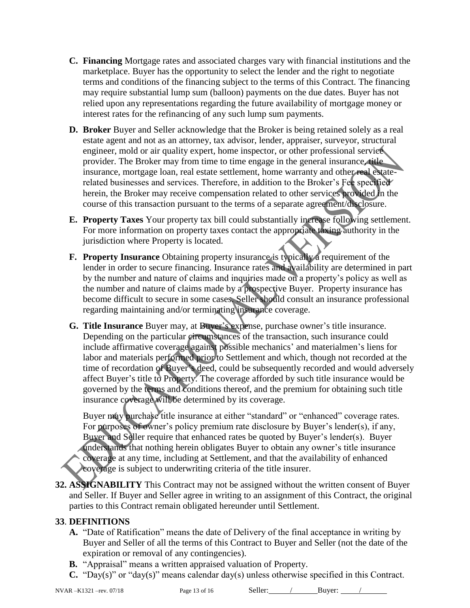- **C. Financing** Mortgage rates and associated charges vary with financial institutions and the marketplace. Buyer has the opportunity to select the lender and the right to negotiate terms and conditions of the financing subject to the terms of this Contract. The financing may require substantial lump sum (balloon) payments on the due dates. Buyer has not relied upon any representations regarding the future availability of mortgage money or interest rates for the refinancing of any such lump sum payments.
- **D. Broker** Buyer and Seller acknowledge that the Broker is being retained solely as a real estate agent and not as an attorney, tax advisor, lender, appraiser, surveyor, structural engineer, mold or air quality expert, home inspector, or other professional service provider. The Broker may from time to time engage in the general insurance, title insurance, mortgage loan, real estate settlement, home warranty and other real estaterelated businesses and services. Therefore, in addition to the Broker's Fee specified herein, the Broker may receive compensation related to other services provided in the course of this transaction pursuant to the terms of a separate agreement/disclosure.
- **E. Property Taxes** Your property tax bill could substantially increase following settlement. For more information on property taxes contact the appropriate taxing authority in the jurisdiction where Property is located.
- **F. Property Insurance** Obtaining property insurance is typically a requirement of the lender in order to secure financing. Insurance rates and availability are determined in part by the number and nature of claims and inquiries made on a property's policy as well as the number and nature of claims made by a prospective Buyer. Property insurance has become difficult to secure in some cases. Seller should consult an insurance professional regarding maintaining and/or terminating insurance coverage.
- **G. Title Insurance** Buyer may, at Buyer's expense, purchase owner's title insurance. Depending on the particular circumstances of the transaction, such insurance could include affirmative coverage against possible mechanics' and materialmen's liens for labor and materials performed prior to Settlement and which, though not recorded at the time of recordation of Buyer's deed, could be subsequently recorded and would adversely affect Buyer's title to Property. The coverage afforded by such title insurance would be governed by the terms and conditions thereof, and the premium for obtaining such title insurance coverage will be determined by its coverage.

Buyer may purchase title insurance at either "standard" or "enhanced" coverage rates. For purposes of owner's policy premium rate disclosure by Buyer's lender(s), if any, Buyer and Seller require that enhanced rates be quoted by Buyer's lender(s). Buyer understands that nothing herein obligates Buyer to obtain any owner's title insurance coverage at any time, including at Settlement, and that the availability of enhanced coverage is subject to underwriting criteria of the title insurer.

**32. ASSIGNABILITY** This Contract may not be assigned without the written consent of Buyer and Seller. If Buyer and Seller agree in writing to an assignment of this Contract, the original parties to this Contract remain obligated hereunder until Settlement.

# **33**. **DEFINITIONS**

- **A.** "Date of Ratification" means the date of Delivery of the final acceptance in writing by Buyer and Seller of all the terms of this Contract to Buyer and Seller (not the date of the expiration or removal of any contingencies).
- **B.** "Appraisal" means a written appraised valuation of Property.
- **C.** "Day(s)" or "day(s)" means calendar day(s) unless otherwise specified in this Contract.

NVAR –K1321 –rev. 07/18 Page 13 of 16 Seller: / Buyer: /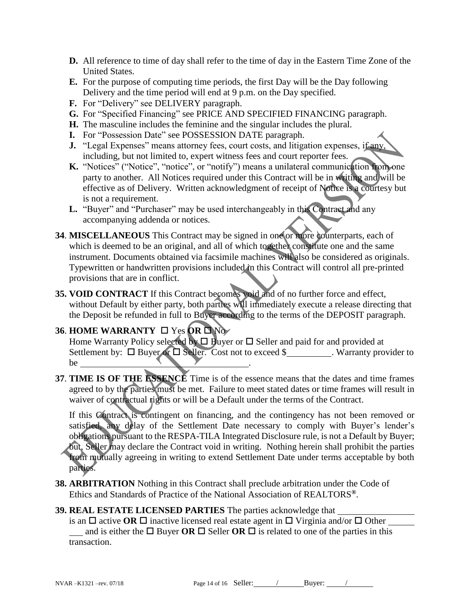- **D.** All reference to time of day shall refer to the time of day in the Eastern Time Zone of the United States.
- **E.** For the purpose of computing time periods, the first Day will be the Day following Delivery and the time period will end at 9 p.m. on the Day specified.
- **F.** For "Delivery" see DELIVERY paragraph.
- **G.** For "Specified Financing" see PRICE AND SPECIFIED FINANCING paragraph.
- **H.** The masculine includes the feminine and the singular includes the plural.
- **I.** For "Possession Date" see POSSESSION DATE paragraph.
- **J.** "Legal Expenses" means attorney fees, court costs, and litigation expenses, if any, including, but not limited to, expert witness fees and court reporter fees.
- **K.** "Notices" ("Notice", "notice", or "notify") means a unilateral communication from one party to another. All Notices required under this Contract will be in writing and will be effective as of Delivery. Written acknowledgment of receipt of Notice is a courtesy but is not a requirement.
- L. "Buyer" and "Purchaser" may be used interchangeably in this Contract and any accompanying addenda or notices.
- **34**. **MISCELLANEOUS** This Contract may be signed in one or more counterparts, each of which is deemed to be an original, and all of which together constitute one and the same instrument. Documents obtained via facsimile machines will also be considered as originals. Typewritten or handwritten provisions included in this Contract will control all pre-printed provisions that are in conflict.
- **35. VOID CONTRACT** If this Contract becomes void and of no further force and effect, without Default by either party, both parties will immediately execute a release directing that the Deposit be refunded in full to Buyer according to the terms of the DEPOSIT paragraph.

# **36. HOME WARRANTY**   $\Box$  Yes **OR**  $\Box$  No

Home Warranty Policy selected by  $\Box$  Buyer or  $\Box$  Seller and paid for and provided at Settlement by:  $\Box$  Buyer or  $\Box$  Seller. Cost not to exceed \$  $\Box$  Warranty provider to be ...

**37**. **TIME IS OF THE ESSENCE** Time is of the essence means that the dates and time frames agreed to by the parties must be met. Failure to meet stated dates or time frames will result in waiver of contractual rights or will be a Default under the terms of the Contract.

If this Contract is contingent on financing, and the contingency has not been removed or satisfied, any delay of the Settlement Date necessary to comply with Buyer's lender's obligations pursuant to the RESPA-TILA Integrated Disclosure rule, is not a Default by Buyer; but, Seller may declare the Contract void in writing. Nothing herein shall prohibit the parties from mutually agreeing in writing to extend Settlement Date under terms acceptable by both parties.

**38. ARBITRATION** Nothing in this Contract shall preclude arbitration under the Code of Ethics and Standards of Practice of the National Association of REALTORS**®**.

# **39. REAL ESTATE LICENSED PARTIES** The parties acknowledge that

is an  $\Box$  active **OR**  $\Box$  inactive licensed real estate agent in  $\Box$  Virginia and/or  $\Box$  Other and is either the  $\Box$  Buyer **OR**  $\Box$  Seller **OR**  $\Box$  is related to one of the parties in this transaction.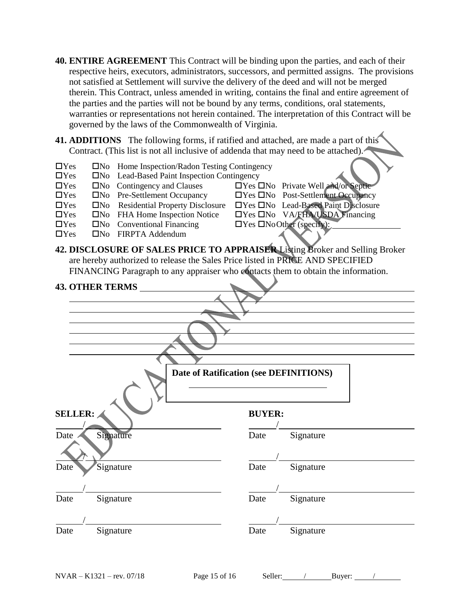- **40. ENTIRE AGREEMENT** This Contract will be binding upon the parties, and each of their respective heirs, executors, administrators, successors, and permitted assigns. The provisions not satisfied at Settlement will survive the delivery of the deed and will not be merged therein. This Contract, unless amended in writing, contains the final and entire agreement of the parties and the parties will not be bound by any terms, conditions, oral statements, warranties or representations not herein contained. The interpretation of this Contract will be governed by the laws of the Commonwealth of Virginia.
- **41. ADDITIONS** The following forms, if ratified and attached, are made a part of this Contract. (This list is not all inclusive of addenda that may need to be attached).
- $\Box$ Yes  $\Box$ No Home Inspection/Radon Testing Contingency
- The No Lead-Based Paint Inspection Contingency<br>
The Contingency and Clauses<br>
Tyes
- $\Box$  Yes  $\Box$  No Contingency and Clauses  $\Box$  Yes  $\Box$  No Private Well and/or Septic
- 
- □Yes □No Residential Property Disclosure □Yes □No Lead-Based Paint Disclosure
- Yes No FHA Home Inspection Notice Yes No VA/FHA/USDA Financing
- $\Box$ Yes  $\Box$ No Conventional Financing  $\Box$ Yes  $\Box$ NoOther (specify):
- $\Box$ Yes  $\Box$ No FIRPTA Addendum
- $\Box$ Yes  $\Box$ No Pre-Settlement Occupancy  $\Box$ Yes  $\Box$ No Post-Settlement Occupancy
	-
	- -
- **42. DISCLOSURE OF SALES PRICE TO APPRAISER** Listing Broker and Selling Broker are hereby authorized to release the Sales Price listed in PRICE AND SPECIFIED FINANCING Paragraph to any appraiser who contacts them to obtain the information.

| <b>43. OTHER TERMS</b> |                                        |           |
|------------------------|----------------------------------------|-----------|
|                        |                                        |           |
|                        |                                        |           |
|                        |                                        |           |
|                        |                                        |           |
|                        |                                        |           |
|                        | Date of Ratification (see DEFINITIONS) |           |
|                        |                                        |           |
| <b>SELLER:</b>         | <b>BUYER:</b>                          |           |
|                        |                                        |           |
| Signature<br>Date      | Date                                   | Signature |
|                        |                                        |           |
| Signature<br>Date      | Date                                   | Signature |
|                        |                                        |           |
| Signature<br>Date      | Date                                   | Signature |
|                        |                                        |           |
|                        |                                        |           |
| Signature<br>Date      | Date                                   | Signature |
|                        |                                        |           |